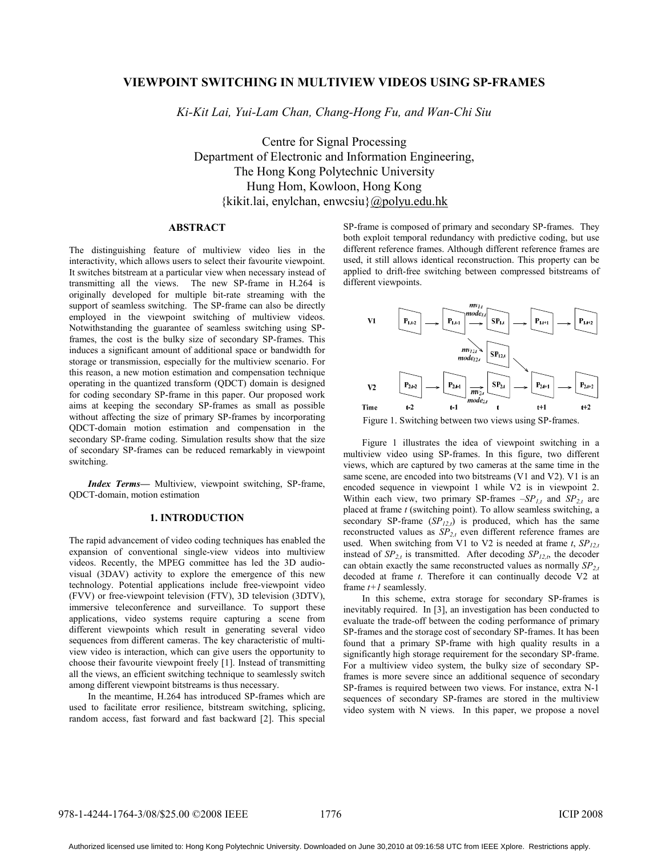# **VIEWPOINT SWITCHING IN MULTIVIEW VIDEOS USING SP-FRAMES**

*Ki-Kit Lai, Yui-Lam Chan, Chang-Hong Fu, and Wan-Chi Siu*

Centre for Signal Processing Department of Electronic and Information Engineering, The Hong Kong Polytechnic University Hung Hom, Kowloon, Hong Kong {kikit.lai, enylchan, enwcsiu}@polyu.edu.hk

# **ABSTRACT**

The distinguishing feature of multiview video lies in the interactivity, which allows users to select their favourite viewpoint. It switches bitstream at a particular view when necessary instead of transmitting all the views. The new SP-frame in H.264 is originally developed for multiple bit-rate streaming with the support of seamless switching. The SP-frame can also be directly employed in the viewpoint switching of multiview videos. Notwithstanding the guarantee of seamless switching using SPframes, the cost is the bulky size of secondary SP-frames. This induces a significant amount of additional space or bandwidth for storage or transmission, especially for the multiview scenario. For this reason, a new motion estimation and compensation technique operating in the quantized transform (QDCT) domain is designed for coding secondary SP-frame in this paper. Our proposed work aims at keeping the secondary SP-frames as small as possible without affecting the size of primary SP-frames by incorporating QDCT-domain motion estimation and compensation in the secondary SP-frame coding. Simulation results show that the size of secondary SP-frames can be reduced remarkably in viewpoint switching.

*Index Terms—* Multiview, viewpoint switching, SP-frame, QDCT-domain, motion estimation

#### **1. INTRODUCTION**

The rapid advancement of video coding techniques has enabled the expansion of conventional single-view videos into multiview videos. Recently, the MPEG committee has led the 3D audiovisual (3DAV) activity to explore the emergence of this new technology. Potential applications include free-viewpoint video (FVV) or free-viewpoint television (FTV), 3D television (3DTV), immersive teleconference and surveillance. To support these applications, video systems require capturing a scene from different viewpoints which result in generating several video sequences from different cameras. The key characteristic of multiview video is interaction, which can give users the opportunity to choose their favourite viewpoint freely [1]. Instead of transmitting all the views, an efficient switching technique to seamlessly switch among different viewpoint bitstreams is thus necessary.

In the meantime, H.264 has introduced SP-frames which are used to facilitate error resilience, bitstream switching, splicing, random access, fast forward and fast backward [2]. This special SP-frame is composed of primary and secondary SP-frames. They both exploit temporal redundancy with predictive coding, but use different reference frames. Although different reference frames are used, it still allows identical reconstruction. This property can be applied to drift-free switching between compressed bitstreams of different viewpoints.



Figure 1. Switching between two views using SP-frames.

Figure 1 illustrates the idea of viewpoint switching in a multiview video using SP-frames. In this figure, two different views, which are captured by two cameras at the same time in the same scene, are encoded into two bitstreams (V1 and V2). V1 is an encoded sequence in viewpoint 1 while V2 is in viewpoint 2. Within each view, two primary SP-frames  $-SP_{1,t}$  and  $SP_{2,t}$  are placed at frame *t* (switching point). To allow seamless switching, a secondary SP-frame (*SP<sub>12,t</sub>*) is produced, which has the same reconstructed values as  $SP<sub>2,t</sub>$  even different reference frames are used. When switching from V1 to V2 is needed at frame  $t$ ,  $SP_{12,t}$ instead of  $SP_{2,t}$  is transmitted. After decoding  $SP_{12,t}$ , the decoder can obtain exactly the same reconstructed values as normally  $SP_{2,t}$ decoded at frame *t*. Therefore it can continually decode V2 at frame *t+1* seamlessly.

In this scheme, extra storage for secondary SP-frames is inevitably required. In [3], an investigation has been conducted to evaluate the trade-off between the coding performance of primary SP-frames and the storage cost of secondary SP-frames. It has been found that a primary SP-frame with high quality results in a significantly high storage requirement for the secondary SP-frame. For a multiview video system, the bulky size of secondary SPframes is more severe since an additional sequence of secondary SP-frames is required between two views. For instance, extra N-1 sequences of secondary SP-frames are stored in the multiview video system with N views. In this paper, we propose a novel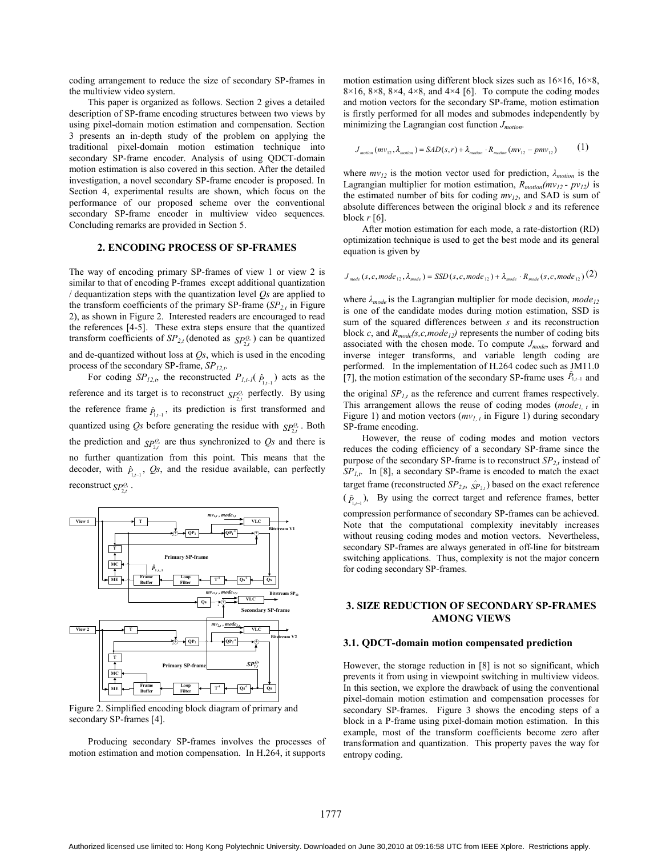coding arrangement to reduce the size of secondary SP-frames in the multiview video system.

This paper is organized as follows. Section 2 gives a detailed description of SP-frame encoding structures between two views by using pixel-domain motion estimation and compensation. Section 3 presents an in-depth study of the problem on applying the traditional pixel-domain motion estimation technique into secondary SP-frame encoder. Analysis of using QDCT-domain motion estimation is also covered in this section. After the detailed investigation, a novel secondary SP-frame encoder is proposed. In Section 4, experimental results are shown, which focus on the performance of our proposed scheme over the conventional secondary SP-frame encoder in multiview video sequences. Concluding remarks are provided in Section 5.

#### **2. ENCODING PROCESS OF SP-FRAMES**

The way of encoding primary SP-frames of view 1 or view 2 is similar to that of encoding P-frames except additional quantization / dequantization steps with the quantization level *Qs* are applied to the transform coefficients of the primary SP-frame  $(SP<sub>2t</sub>$  in Figure 2), as shown in Figure 2. Interested readers are encouraged to read the references [4-5]. These extra steps ensure that the quantized transform coefficients of  $SP_{2,t}$  (denoted as  $SP_{2,t}^Q$ ) can be quantized

and de-quantized without loss at *Qs*, which is used in the encoding process of the secondary SP-frame, *SP12,t*.

For coding  $SP_{12,t}$ , the reconstructed  $P_{1,t-1}(\hat{P}_{1,t-1})$  acts as the reference and its target is to reconstruct  $SP_{2i}^{Q_s}$  perfectly. By using the reference frame  $\hat{P}_{1,t-1}$ , its prediction is first transformed and quantized using *Qs* before generating the residue with  $SP_{\gamma t}^{\mathcal{Q}_{s}}$ . Both the prediction and  $_{S\!P_{2,t}^{\mathcal{Q}_s}}$  are thus synchronized to  $\mathcal{Q}_s$  and there is no further quantization from this point. This means that the decoder, with  $\hat{P}_{1,t-1}$ ,  $\hat{Q}s$ , and the residue available, can perfectly reconstruct  $SP_{2t}^{\mathcal{Q}_{s}}$ .



Figure 2. Simplified encoding block diagram of primary and secondary SP-frames [4].

Producing secondary SP-frames involves the processes of motion estimation and motion compensation. In H.264, it supports motion estimation using different block sizes such as  $16\times16$ ,  $16\times8$ ,  $8\times16$ ,  $8\times8$ ,  $8\times4$ ,  $4\times8$ , and  $4\times4$  [6]. To compute the coding modes and motion vectors for the secondary SP-frame, motion estimation is firstly performed for all modes and submodes independently by minimizing the Lagrangian cost function *Jmotion*.

$$
J_{motion}(mv_{12}, \lambda_{motion}) = SAD(s, r) + \lambda_{motion} \cdot R_{motion}(mv_{12} - pmv_{12})
$$
 (1)

where  $mv_{12}$  is the motion vector used for prediction,  $\lambda_{motion}$  is the Lagrangian multiplier for motion estimation,  $R_{motion}(mv_{12} - pv_{12})$  is the estimated number of bits for coding  $mv_{12}$ , and SAD is sum of absolute differences between the original block *s* and its reference block  $r$  [6].

After motion estimation for each mode, a rate-distortion (RD) optimization technique is used to get the best mode and its general equation is given by

$$
J_{\text{mode}}(s, c, mode_{12}, \lambda_{\text{mode}}) = SSD(s, c, mode_{12}) + \lambda_{\text{mode}} \cdot R_{\text{mode}}(s, c, mode_{12})
$$
(2)

where  $\lambda_{mode}$  is the Lagrangian multiplier for mode decision, *mode*<sub>12</sub> is one of the candidate modes during motion estimation, SSD is sum of the squared differences between *s* and its reconstruction block *c*, and  $R_{mode}(s, c, mode_{12})$  represents the number of coding bits associated with the chosen mode. To compute *Jmode*, forward and inverse integer transforms, and variable length coding are performed. In the implementation of H.264 codec such as JM11.0 [7], the motion estimation of the secondary SP-frame uses  $\hat{P}_{1,t-1}$  and

the original  $SP<sub>1,t</sub>$  as the reference and current frames respectively. This arrangement allows the reuse of coding modes (*mode<sub>1, t</sub>* in Figure 1) and motion vectors  $(mv_{l,t}$  in Figure 1) during secondary SP-frame encoding.

However, the reuse of coding modes and motion vectors reduces the coding efficiency of a secondary SP-frame since the purpose of the secondary SP-frame is to reconstruct  $SP_{2,t}$  instead of *SP1,t*. In [8], a secondary SP-frame is encoded to match the exact target frame (reconstructed  $SP_{2,t}$ ,  $\hat{SP}_{2,t}$ ) based on the exact reference  $(\hat{P}_{1,t-1})$ , By using the correct target and reference frames, better compression performance of secondary SP-frames can be achieved. Note that the computational complexity inevitably increases without reusing coding modes and motion vectors. Nevertheless, secondary SP-frames are always generated in off-line for bitstream switching applications. Thus, complexity is not the major concern for coding secondary SP-frames.

# **3. SIZE REDUCTION OF SECONDARY SP-FRAMES AMONG VIEWS**

#### **3.1. QDCT-domain motion compensated prediction**

However, the storage reduction in [8] is not so significant, which prevents it from using in viewpoint switching in multiview videos. In this section, we explore the drawback of using the conventional pixel-domain motion estimation and compensation processes for secondary SP-frames. Figure 3 shows the encoding steps of a block in a P-frame using pixel-domain motion estimation. In this example, most of the transform coefficients become zero after transformation and quantization. This property paves the way for entropy coding.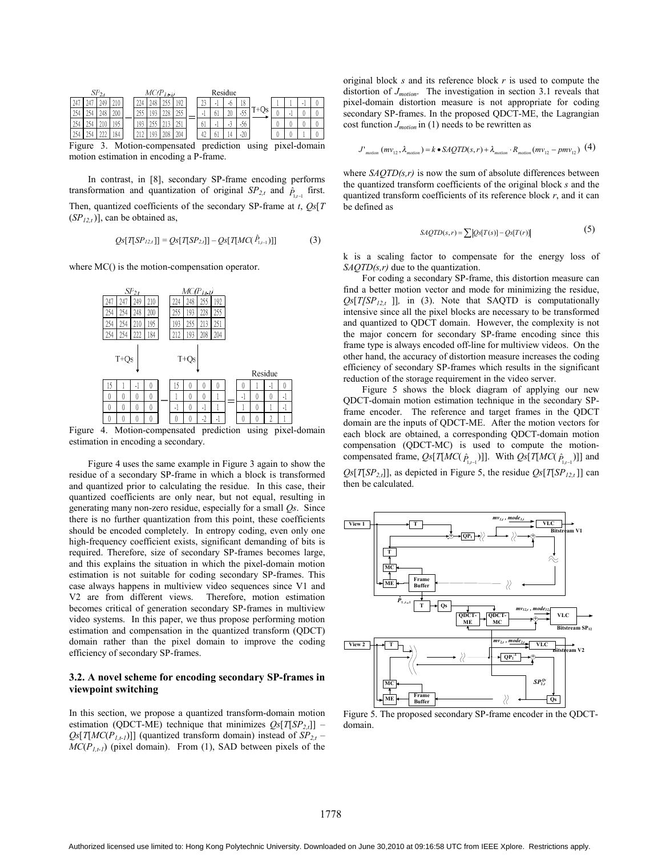| $SP_{2,t}$                                                              |    |  |     |  | $MC(P_{L\leftarrow U})$ |  |  |             |  | Residue |     |    |     |  |  |  |  |  |
|-------------------------------------------------------------------------|----|--|-----|--|-------------------------|--|--|-------------|--|---------|-----|----|-----|--|--|--|--|--|
| 24                                                                      | 44 |  |     |  |                         |  |  | 192         |  |         |     |    | 18  |  |  |  |  |  |
|                                                                         |    |  | 200 |  | 43-                     |  |  | 255<br>ر رے |  |         | O I | ΖU | -55 |  |  |  |  |  |
|                                                                         |    |  | 95  |  |                         |  |  | ነር 1<br>LΟI |  | 01      |     |    | -JU |  |  |  |  |  |
|                                                                         |    |  | 84  |  |                         |  |  | 204         |  |         |     |    |     |  |  |  |  |  |
| $E_{i \text{mtra}}$<br>Motion companyated prediction using nivel domain |    |  |     |  |                         |  |  |             |  |         |     |    |     |  |  |  |  |  |

Figure 3. Motion-compensated prediction using pixel-domain motion estimation in encoding a P-frame.

In contrast, in [8], secondary SP-frame encoding performs transformation and quantization of original  $SP_{2,t}$  and  $\hat{P}_{1,t-1}$  first. Then, quantized coefficients of the secondary SP-frame at *t*, *Qs*[*T*  $(SP<sub>12,t</sub>)$ ], can be obtained as,

$$
Qs[T[SP_{12,t}]] = Qs[T[SP_{2,t}]] - Qs[T[MC(P_{1,t-1})]] \tag{3}
$$

where MC() is the motion-compensation operator.

|     |          | $SP_{2t}$ |     | $MC(P_{1,t},\nu)$ |     |         |     |  |    |          |         |           |  |
|-----|----------|-----------|-----|-------------------|-----|---------|-----|--|----|----------|---------|-----------|--|
| 247 | 247      | 249       | 210 | 224               | 248 | 255     | 192 |  |    |          |         |           |  |
| 254 | 254      | 248       | 200 | 255               | 193 | 228     | 255 |  |    |          |         |           |  |
| 254 | 254      | 210       | 195 | 193               | 255 | 213     | 251 |  |    |          |         |           |  |
| 254 | 254      | 222       | 184 | 212               | 193 | 208     | 204 |  |    |          |         |           |  |
|     | $T+Qs$   |           |     | $T+Qs$            |     |         |     |  |    |          | Residue |           |  |
| 15  |          | -1        | 0   | $\mathcal{L}$     | 0   | 0       | 0   |  | 0  |          | ٠١      | 0         |  |
| 0   | 0        | 0         | 0   |                   | 0   | 0       |     |  | -1 | 0        | 0       | -1        |  |
| 0   | $\theta$ | 0         | 0   | - 1               | 0   | $\cdot$ |     |  |    | $\theta$ |         | $\cdot$ l |  |
|     |          |           |     |                   |     |         |     |  |    |          |         |           |  |

Figure 4. Motion-compensated prediction using pixel-domain estimation in encoding a secondary.

Figure 4 uses the same example in Figure 3 again to show the residue of a secondary SP-frame in which a block is transformed and quantized prior to calculating the residue. In this case, their quantized coefficients are only near, but not equal, resulting in generating many non-zero residue, especially for a small *Qs*. Since there is no further quantization from this point, these coefficients should be encoded completely. In entropy coding, even only one high-frequency coefficient exists, significant demanding of bits is required. Therefore, size of secondary SP-frames becomes large, and this explains the situation in which the pixel-domain motion estimation is not suitable for coding secondary SP-frames. This case always happens in multiview video sequences since V1 and V2 are from different views. Therefore, motion estimation becomes critical of generation secondary SP-frames in multiview video systems. In this paper, we thus propose performing motion estimation and compensation in the quantized transform (QDCT) domain rather than the pixel domain to improve the coding efficiency of secondary SP-frames.

# **3.2. A novel scheme for encoding secondary SP-frames in viewpoint switching**

In this section, we propose a quantized transform-domain motion estimation (QDCT-ME) technique that minimizes  $Qs[T|SP_{2,t}]$ ] –  $Qs[T[MC(P<sub>1,t-1</sub>)]]$  (quantized transform domain) instead of  $SP<sub>2,t</sub>$  –  $MC(P_{1,t-1})$  (pixel domain). From (1), SAD between pixels of the original block *s* and its reference block *r* is used to compute the distortion of *Jmotion*. The investigation in section 3.1 reveals that pixel-domain distortion measure is not appropriate for coding secondary SP-frames. In the proposed QDCT-ME, the Lagrangian cost function *Jmotion* in (1) needs to be rewritten as

$$
J'_{motion}(mv_{12}, \lambda_{motion}) = k \cdot SAQTD(s, r) + \lambda_{motion} \cdot R_{motion}(mv_{12} - pmv_{12}) \tag{4}
$$

where  $S A Q T D(s,r)$  is now the sum of absolute differences between the quantized transform coefficients of the original block *s* and the quantized transform coefficients of its reference block *r*, and it can be defined as

$$
SAQTD(s,r) = \sum \left| Qs[T(s)] - Qs[T(r)] \right| \tag{5}
$$

k is a scaling factor to compensate for the energy loss of *SAQTD(s,r)* due to the quantization.

For coding a secondary SP-frame, this distortion measure can find a better motion vector and mode for minimizing the residue,  $Qs[T|SP<sub>12,t</sub>]$ , in (3). Note that SAQTD is computationally intensive since all the pixel blocks are necessary to be transformed and quantized to QDCT domain. However, the complexity is not the major concern for secondary SP-frame encoding since this frame type is always encoded off-line for multiview videos. On the other hand, the accuracy of distortion measure increases the coding efficiency of secondary SP-frames which results in the significant reduction of the storage requirement in the video server.

Figure 5 shows the block diagram of applying our new QDCT-domain motion estimation technique in the secondary SPframe encoder. The reference and target frames in the QDCT domain are the inputs of QDCT-ME. After the motion vectors for each block are obtained, a corresponding QDCT-domain motion compensation (QDCT-MC) is used to compute the motioncompensated frame,  $Qs[T[MC(\hat{P}_{1,t-1})]]$ . With  $Qs[T[MC(\hat{P}_{1,t-1})]]$  and  $Qs[T|SP_{2,t}]$ , as depicted in Figure 5, the residue  $Qs[T|SP_{12,t}]$  can

then be calculated.



Figure 5. The proposed secondary SP-frame encoder in the QDCTdomain.